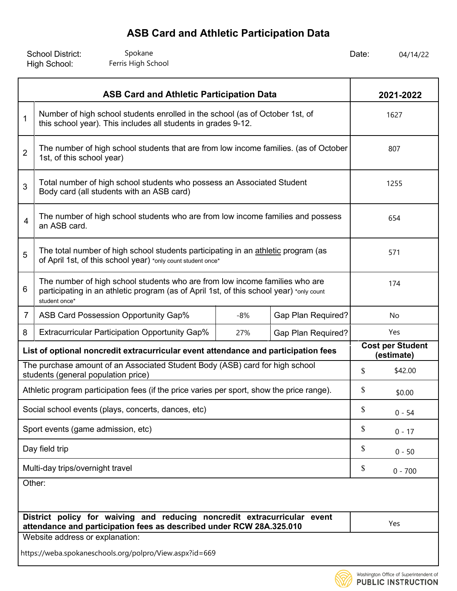| <b>School District:</b> | Spokane            | Date: | 04/14/22 |
|-------------------------|--------------------|-------|----------|
| High School:            | Ferris High School |       |          |

Washington Office of Superintendent of **PUBLIC INSTRUCTION** 

| <b>ASB Card and Athletic Participation Data</b>                                                                                                                                                            |                                                                                                                                                   |       |                           | 2021-2022                             |           |  |
|------------------------------------------------------------------------------------------------------------------------------------------------------------------------------------------------------------|---------------------------------------------------------------------------------------------------------------------------------------------------|-------|---------------------------|---------------------------------------|-----------|--|
| Number of high school students enrolled in the school (as of October 1st, of<br>$\mathbf{1}$<br>this school year). This includes all students in grades 9-12.                                              |                                                                                                                                                   |       |                           | 1627                                  |           |  |
| $\overline{2}$                                                                                                                                                                                             | The number of high school students that are from low income families. (as of October<br>1st, of this school year)                                 |       |                           | 807                                   |           |  |
| Total number of high school students who possess an Associated Student<br>3<br>Body card (all students with an ASB card)                                                                                   |                                                                                                                                                   |       |                           | 1255                                  |           |  |
| The number of high school students who are from low income families and possess<br>$\overline{4}$<br>an ASB card.                                                                                          |                                                                                                                                                   |       |                           | 654                                   |           |  |
| 5                                                                                                                                                                                                          | The total number of high school students participating in an athletic program (as<br>of April 1st, of this school year) *only count student once* |       |                           |                                       | 571       |  |
| The number of high school students who are from low income families who are<br>$6\phantom{1}6$<br>participating in an athletic program (as of April 1st, of this school year) *only count<br>student once* |                                                                                                                                                   |       |                           | 174                                   |           |  |
| $\overline{7}$                                                                                                                                                                                             | ASB Card Possession Opportunity Gap%                                                                                                              | $-8%$ | <b>Gap Plan Required?</b> | No                                    |           |  |
| 8                                                                                                                                                                                                          | <b>Extracurricular Participation Opportunity Gap%</b>                                                                                             | 27%   | <b>Gap Plan Required?</b> | Yes                                   |           |  |
| List of optional noncredit extracurricular event attendance and participation fees                                                                                                                         |                                                                                                                                                   |       |                           | <b>Cost per Student</b><br>(estimate) |           |  |
| The purchase amount of an Associated Student Body (ASB) card for high school<br>students (general population price)                                                                                        |                                                                                                                                                   |       | \$                        | \$42.00                               |           |  |
| Athletic program participation fees (if the price varies per sport, show the price range).                                                                                                                 |                                                                                                                                                   |       | \$                        | \$0.00                                |           |  |
|                                                                                                                                                                                                            | Social school events (plays, concerts, dances, etc)                                                                                               |       |                           | \$                                    | $0 - 54$  |  |
| Sport events (game admission, etc)                                                                                                                                                                         |                                                                                                                                                   |       |                           | \$                                    | $0 - 17$  |  |
| Day field trip                                                                                                                                                                                             |                                                                                                                                                   |       |                           | \$                                    | $0 - 50$  |  |
| Multi-day trips/overnight travel                                                                                                                                                                           |                                                                                                                                                   |       |                           | \$                                    | $0 - 700$ |  |
| Other:                                                                                                                                                                                                     |                                                                                                                                                   |       |                           |                                       |           |  |
| District policy for waiving and reducing noncredit extracurricular event<br>attendance and participation fees as described under RCW 28A.325.010                                                           |                                                                                                                                                   |       |                           | Yes                                   |           |  |
| Website address or explanation:                                                                                                                                                                            |                                                                                                                                                   |       |                           |                                       |           |  |
|                                                                                                                                                                                                            | https://weba.spokaneschools.org/polpro/View.aspx?id=669                                                                                           |       |                           |                                       |           |  |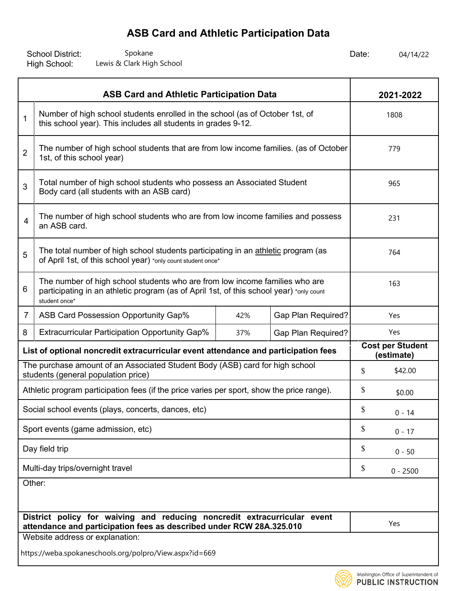School District: Spokane Spokane Spokane and Date: High School: Spokane Spokane Spokane Spokane Spokane Spokane Spokane Berner (1992) and Spokane Spokane Spokane Spokane Spokane Spoka<br>
Spokane Spokane Spokane Spokane Spokane Spokane Spokane Spokane Spokane Spokane Spokane Spokane Spokane Spoka

| <b>ASB Card and Athletic Participation Data</b>                                                                                                  |                                                                                                                                                                                         |     |                           | 2021-2022                             |            |  |
|--------------------------------------------------------------------------------------------------------------------------------------------------|-----------------------------------------------------------------------------------------------------------------------------------------------------------------------------------------|-----|---------------------------|---------------------------------------|------------|--|
| 1                                                                                                                                                | Number of high school students enrolled in the school (as of October 1st, of<br>this school year). This includes all students in grades 9-12.                                           |     |                           |                                       | 1808       |  |
| $\overline{2}$                                                                                                                                   | The number of high school students that are from low income families. (as of October<br>1st, of this school year)                                                                       |     |                           | 779                                   |            |  |
| 3                                                                                                                                                | Total number of high school students who possess an Associated Student<br>Body card (all students with an ASB card)                                                                     |     |                           |                                       | 965        |  |
| The number of high school students who are from low income families and possess<br>4<br>an ASB card.                                             |                                                                                                                                                                                         |     |                           | 231                                   |            |  |
| 5                                                                                                                                                | The total number of high school students participating in an athletic program (as<br>of April 1st, of this school year) *only count student once*                                       |     |                           |                                       | 764        |  |
| 6                                                                                                                                                | The number of high school students who are from low income families who are<br>participating in an athletic program (as of April 1st, of this school year) *only count<br>student once* |     |                           |                                       | 163        |  |
| 7                                                                                                                                                | ASB Card Possession Opportunity Gap%                                                                                                                                                    | 42% | <b>Gap Plan Required?</b> | Yes                                   |            |  |
| 8                                                                                                                                                | <b>Extracurricular Participation Opportunity Gap%</b>                                                                                                                                   | 37% | <b>Gap Plan Required?</b> | Yes                                   |            |  |
| List of optional noncredit extracurricular event attendance and participation fees                                                               |                                                                                                                                                                                         |     |                           | <b>Cost per Student</b><br>(estimate) |            |  |
| The purchase amount of an Associated Student Body (ASB) card for high school<br>students (general population price)                              |                                                                                                                                                                                         |     | \$                        | \$42.00                               |            |  |
| Athletic program participation fees (if the price varies per sport, show the price range).                                                       |                                                                                                                                                                                         |     |                           | \$                                    | \$0.00     |  |
|                                                                                                                                                  | Social school events (plays, concerts, dances, etc)                                                                                                                                     |     |                           | \$                                    | $0 - 14$   |  |
| Sport events (game admission, etc)                                                                                                               |                                                                                                                                                                                         |     |                           | \$                                    | $0 - 17$   |  |
| Day field trip                                                                                                                                   |                                                                                                                                                                                         |     |                           | \$                                    | $0 - 50$   |  |
| Multi-day trips/overnight travel                                                                                                                 |                                                                                                                                                                                         |     |                           | \$                                    | $0 - 2500$ |  |
| Other:                                                                                                                                           |                                                                                                                                                                                         |     |                           |                                       |            |  |
| District policy for waiving and reducing noncredit extracurricular event<br>attendance and participation fees as described under RCW 28A.325.010 |                                                                                                                                                                                         |     |                           | Yes                                   |            |  |
|                                                                                                                                                  | Website address or explanation:                                                                                                                                                         |     |                           |                                       |            |  |
|                                                                                                                                                  | https://weba.spokaneschools.org/polpro/View.aspx?id=669                                                                                                                                 |     |                           |                                       |            |  |

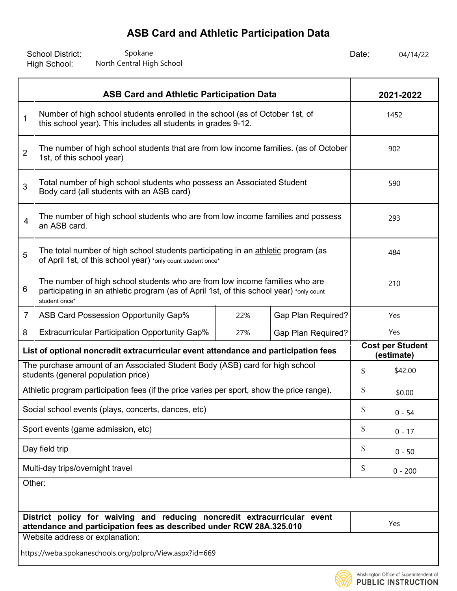School District: Spokane Spokane Spokane and Date: High School: Spokane Spokane Spokane Spokane Spokane Spokane Spokane and the US of the Central High School of the Central High School of the Central High School of the Central High School of the Central High School of the Central High School o

| <b>ASB Card and Athletic Participation Data</b>                                                                                                  |                                                                                                                                                                                         |     |                           | 2021-2022                             |           |  |
|--------------------------------------------------------------------------------------------------------------------------------------------------|-----------------------------------------------------------------------------------------------------------------------------------------------------------------------------------------|-----|---------------------------|---------------------------------------|-----------|--|
| 1                                                                                                                                                | Number of high school students enrolled in the school (as of October 1st, of<br>this school year). This includes all students in grades 9-12.                                           |     |                           |                                       | 1452      |  |
| $\overline{2}$                                                                                                                                   | The number of high school students that are from low income families. (as of October<br>1st, of this school year)                                                                       |     |                           | 902                                   |           |  |
| Total number of high school students who possess an Associated Student<br>3<br>Body card (all students with an ASB card)                         |                                                                                                                                                                                         |     |                           | 590                                   |           |  |
| The number of high school students who are from low income families and possess<br>4<br>an ASB card.                                             |                                                                                                                                                                                         |     |                           | 293                                   |           |  |
| 5                                                                                                                                                | The total number of high school students participating in an athletic program (as<br>of April 1st, of this school year) *only count student once*                                       |     |                           |                                       | 484       |  |
| 6                                                                                                                                                | The number of high school students who are from low income families who are<br>participating in an athletic program (as of April 1st, of this school year) *only count<br>student once* |     |                           |                                       | 210       |  |
| 7                                                                                                                                                | ASB Card Possession Opportunity Gap%                                                                                                                                                    | 22% | <b>Gap Plan Required?</b> | Yes                                   |           |  |
| 8                                                                                                                                                | <b>Extracurricular Participation Opportunity Gap%</b>                                                                                                                                   | 27% | <b>Gap Plan Required?</b> | Yes                                   |           |  |
| List of optional noncredit extracurricular event attendance and participation fees                                                               |                                                                                                                                                                                         |     |                           | <b>Cost per Student</b><br>(estimate) |           |  |
| The purchase amount of an Associated Student Body (ASB) card for high school<br>students (general population price)                              |                                                                                                                                                                                         |     | \$                        | \$42.00                               |           |  |
| Athletic program participation fees (if the price varies per sport, show the price range).                                                       |                                                                                                                                                                                         |     |                           | \$                                    | \$0.00    |  |
| Social school events (plays, concerts, dances, etc)                                                                                              |                                                                                                                                                                                         |     |                           | \$                                    | $0 - 54$  |  |
| Sport events (game admission, etc)                                                                                                               |                                                                                                                                                                                         |     |                           | \$                                    | $0 - 17$  |  |
| Day field trip                                                                                                                                   |                                                                                                                                                                                         |     |                           | \$                                    | $0 - 50$  |  |
| Multi-day trips/overnight travel                                                                                                                 |                                                                                                                                                                                         |     |                           | \$                                    | $0 - 200$ |  |
| Other:                                                                                                                                           |                                                                                                                                                                                         |     |                           |                                       |           |  |
| District policy for waiving and reducing noncredit extracurricular event<br>attendance and participation fees as described under RCW 28A.325.010 |                                                                                                                                                                                         |     |                           | Yes                                   |           |  |
|                                                                                                                                                  | Website address or explanation:                                                                                                                                                         |     |                           |                                       |           |  |
|                                                                                                                                                  | https://weba.spokaneschools.org/polpro/View.aspx?id=669                                                                                                                                 |     |                           |                                       |           |  |

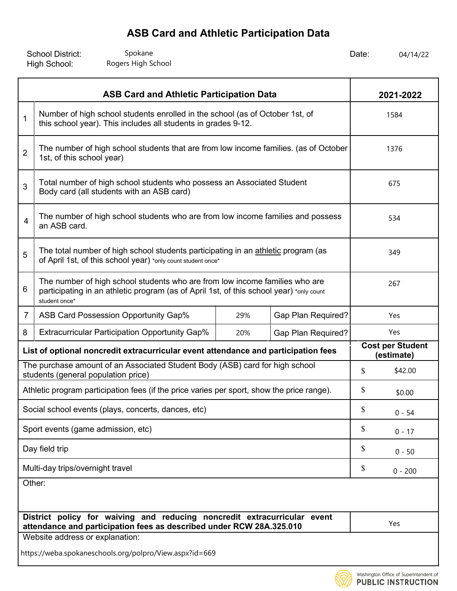| <b>School District:</b> | Spokane            | Date: | 04/14/22 |
|-------------------------|--------------------|-------|----------|
| High School:            | Rogers High School |       |          |

| <b>ASB Card and Athletic Participation Data</b>                                                                                                                                              |                                                                                                                                                   |     |                                       | 2021-2022 |           |  |
|----------------------------------------------------------------------------------------------------------------------------------------------------------------------------------------------|---------------------------------------------------------------------------------------------------------------------------------------------------|-----|---------------------------------------|-----------|-----------|--|
| 1                                                                                                                                                                                            | Number of high school students enrolled in the school (as of October 1st, of<br>this school year). This includes all students in grades 9-12.     |     |                                       |           | 1584      |  |
| $\overline{2}$                                                                                                                                                                               | The number of high school students that are from low income families. (as of October<br>1st, of this school year)                                 |     |                                       | 1376      |           |  |
| Total number of high school students who possess an Associated Student<br>3<br>Body card (all students with an ASB card)                                                                     |                                                                                                                                                   |     |                                       | 675       |           |  |
| The number of high school students who are from low income families and possess<br>4<br>an ASB card.                                                                                         |                                                                                                                                                   |     |                                       | 534       |           |  |
| 5                                                                                                                                                                                            | The total number of high school students participating in an athletic program (as<br>of April 1st, of this school year) *only count student once* |     |                                       |           | 349       |  |
| The number of high school students who are from low income families who are<br>6<br>participating in an athletic program (as of April 1st, of this school year) *only count<br>student once* |                                                                                                                                                   |     |                                       | 267       |           |  |
| 7                                                                                                                                                                                            | ASB Card Possession Opportunity Gap%                                                                                                              | 29% | Gap Plan Required?                    | Yes       |           |  |
| 8                                                                                                                                                                                            | <b>Extracurricular Participation Opportunity Gap%</b>                                                                                             | 20% | Gap Plan Required?                    | Yes       |           |  |
| List of optional noncredit extracurricular event attendance and participation fees                                                                                                           |                                                                                                                                                   |     | <b>Cost per Student</b><br>(estimate) |           |           |  |
| The purchase amount of an Associated Student Body (ASB) card for high school<br>students (general population price)                                                                          |                                                                                                                                                   |     | \$                                    | \$42.00   |           |  |
| Athletic program participation fees (if the price varies per sport, show the price range).                                                                                                   |                                                                                                                                                   |     | \$                                    | \$0.00    |           |  |
| Social school events (plays, concerts, dances, etc)                                                                                                                                          |                                                                                                                                                   |     |                                       | \$        | $0 - 54$  |  |
| Sport events (game admission, etc)                                                                                                                                                           |                                                                                                                                                   |     |                                       | \$        | $0 - 17$  |  |
| Day field trip                                                                                                                                                                               |                                                                                                                                                   |     |                                       | \$        | $0 - 50$  |  |
| Multi-day trips/overnight travel                                                                                                                                                             |                                                                                                                                                   |     |                                       | \$        | $0 - 200$ |  |
| Other:                                                                                                                                                                                       |                                                                                                                                                   |     |                                       |           |           |  |
|                                                                                                                                                                                              |                                                                                                                                                   |     |                                       |           |           |  |
| District policy for waiving and reducing noncredit extracurricular event<br>attendance and participation fees as described under RCW 28A.325.010                                             |                                                                                                                                                   |     |                                       | Yes       |           |  |
| Website address or explanation:                                                                                                                                                              |                                                                                                                                                   |     |                                       |           |           |  |
|                                                                                                                                                                                              | https://weba.spokaneschools.org/polpro/View.aspx?id=669                                                                                           |     |                                       |           |           |  |